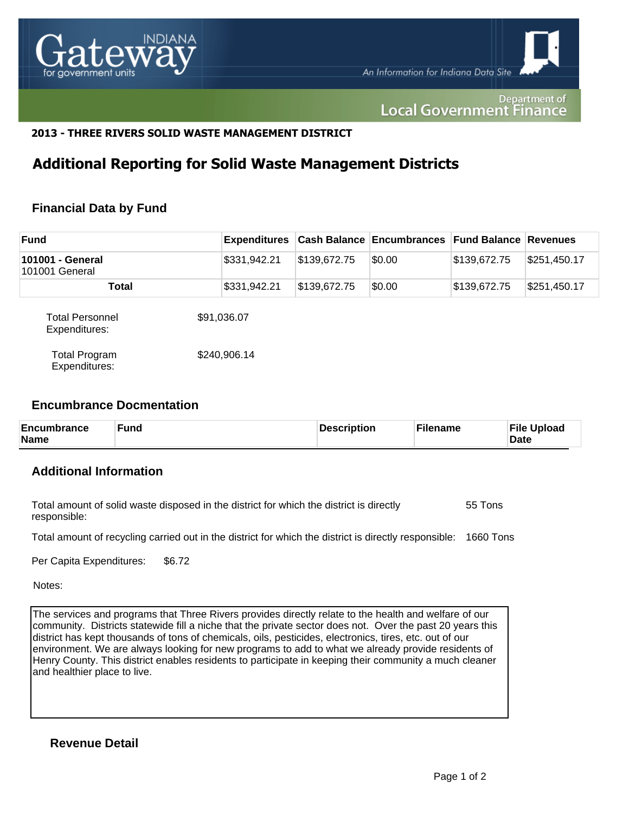

Department of **Local Government Finance** 

## **2013 - THREE RIVERS SOLID WASTE MANAGEMENT DISTRICT**

# **Additional Reporting for Solid Waste Management Districts**

# **Financial Data by Fund**

| <b>Fund</b>                             | Expenditures |              | <b>Cash Balance Encumbrances Fund Balance Revenues</b> |              |              |
|-----------------------------------------|--------------|--------------|--------------------------------------------------------|--------------|--------------|
| 101001 - General<br>101001 General      | \$331,942.21 | \$139,672.75 | \$0.00                                                 | \$139,672.75 | \$251,450.17 |
| Total                                   | \$331,942.21 | \$139,672.75 | \$0.00                                                 | \$139,672.75 | \$251,450.17 |
| <b>Total Personnel</b><br>Expenditures: | \$91,036.07  |              |                                                        |              |              |
| <b>Total Program</b><br>Expenditures:   | \$240,906.14 |              |                                                        |              |              |

#### **Encumbrance Docmentation**

| Encumbrance<br><b>Fund</b><br><b>Name</b> | <b>Description</b> | <b>Filename</b> | <b>File Upload</b><br><b>Date</b> |
|-------------------------------------------|--------------------|-----------------|-----------------------------------|
|-------------------------------------------|--------------------|-----------------|-----------------------------------|

# **Additional Information**

| Total amount of solid waste disposed in the district for which the district is directly | 55 Tons |
|-----------------------------------------------------------------------------------------|---------|
| responsible:                                                                            |         |

Total amount of recycling carried out in the district for which the district is directly responsible: 1660 Tons

Per Capita Expenditures: \$6.72

Notes:

The services and programs that Three Rivers provides directly relate to the health and welfare of our community. Districts statewide fill a niche that the private sector does not. Over the past 20 years this district has kept thousands of tons of chemicals, oils, pesticides, electronics, tires, etc. out of our environment. We are always looking for new programs to add to what we already provide residents of Henry County. This district enables residents to participate in keeping their community a much cleaner and healthier place to live.

**Revenue Detail**